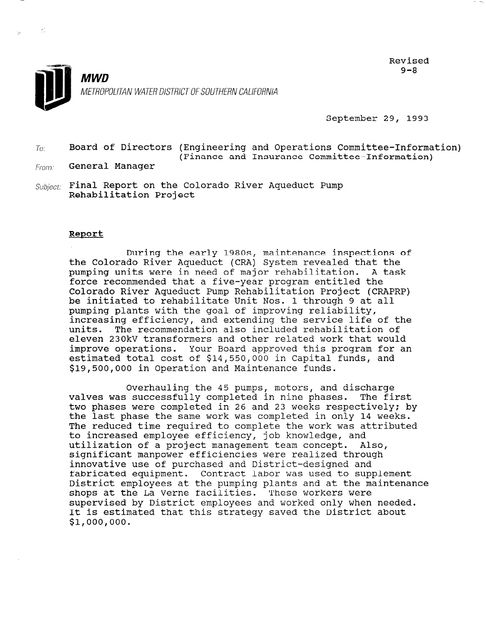

Revised  $9 - R$ 

September 29, 1993

 $T_{0}$ : Board of Directors (Engineering and Operations Committee-Information) (Finance and Insurance Committee-Information)

From: **General Manager** 

 $\mathcal{E}^{\pm}_{\mathcal{E}}$ 

 $Subject:$  Final Report on the Colorado River Aqueduct Pump Rehabilitation Project

## Report

During the early 198Os, maintenance inspections of the Colorado River Aqueduct (CRA) System revealed that the pumping units were in need of major rehabilitation. A task force recommended that a five-year program entitled the Colorado River Aqueduct Pump Rehabilitation Project (CRAPRP) be initiated to rehabilitate Unit Nos. 1 through 9 at all pumping plants with the goal of improving reliability, increasing efficiency, and extending the service life of the units. The recommendation also included rehabilitation of eleven 230kV transformers and other related work that would improve operations. Your Board approved this program for an estimated total cost of \$14,550,000 in Capital funds, and \$19,500,000 in Operation and Maintenance funds.

Overhauling the 45 pumps, motors, and discharge valves was successfully completed in nine phases. The first two phases were completed in 26 and 23 weeks respectively: by two phases were compreced in 20 and 25 weeks respectively, The reduced time required to complete the work was difficulted the week to increased employee efficiency, job knowledge, and ud increased emproyee erriciency, job knowledge, and utilization of a project management team concept. Also,<br>significant manpower efficiencies were realized through innovative use of purchased and District-designed and fabricated equipment. Contract labor was used to supplement District employees at the pumping plants and at the maintenance precise all the pumping prance and at the mediate mediate was the mediated with the mediate was described with shops at the La verne identifiers. These workers were<br>well and head the District only well worked only when the shop is supervised by District employees and worked only when need<br>It is active to like this strategy areal the District about It is estimated that this strategy saved the District about<br>\$1,000,000.